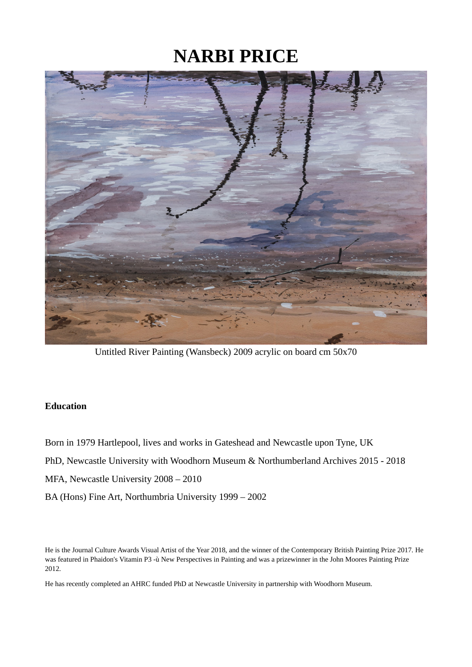# **NARBI PRICE**



Untitled River Painting (Wansbeck) 2009 acrylic on board cm 50x70

# **Education**

Born in 1979 Hartlepool, lives and works in Gateshead and Newcastle upon Tyne, UK PhD, Newcastle University with Woodhorn Museum & Northumberland Archives 2015 - 2018 MFA, Newcastle University 2008 – 2010 BA (Hons) Fine Art, Northumbria University 1999 – 2002

He is the Journal Culture Awards Visual Artist of the Year 2018, and the winner of the Contemporary British Painting Prize 2017. He was featured in Phaidon's Vitamin P3 -ù New Perspectives in Painting and was a prizewinner in the John Moores Painting Prize 2012.

He has recently completed an AHRC funded PhD at Newcastle University in partnership with Woodhorn Museum.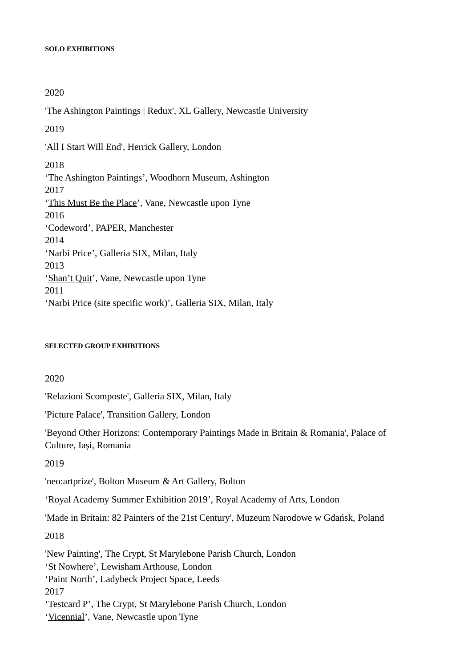#### **SOLO EXHIBITIONS**

2020

'The Ashington Paintings | Redux', XL Gallery, Newcastle University 2019 'All I Start Will End', Herrick Gallery, London 2018 'The Ashington Paintings', Woodhorn Museum, Ashington 2017 'This Must Be the Place', Vane, Newcastle upon Tyne 2016 'Codeword', PAPER, Manchester 2014 'Narbi Price', Galleria SIX, Milan, Italy 2013 'Shan't Quit', Vane, Newcastle upon Tyne 2011 'Narbi Price (site specific work)', Galleria SIX, Milan, Italy

#### **SELECTED GROUP EXHIBITIONS**

2020

'Relazioni Scomposte', Galleria SIX, Milan, Italy

'Picture Palace', Transition Gallery, London

'Beyond Other Horizons: Contemporary Paintings Made in Britain & Romania', Palace of Culture, Iași, Romania

2019

'neo:artprize', Bolton Museum & Art Gallery, Bolton

'Royal Academy Summer Exhibition 2019', Royal Academy of Arts, London

'Made in Britain: 82 Painters of the 21st Century', Muzeum Narodowe w Gdańsk, Poland

2018

'New Painting', The Crypt, St Marylebone Parish Church, London

'St Nowhere', Lewisham Arthouse, London

'Paint North', Ladybeck Project Space, Leeds

2017

'Testcard P', The Crypt, St Marylebone Parish Church, London

'Vicennial', Vane, Newcastle upon Tyne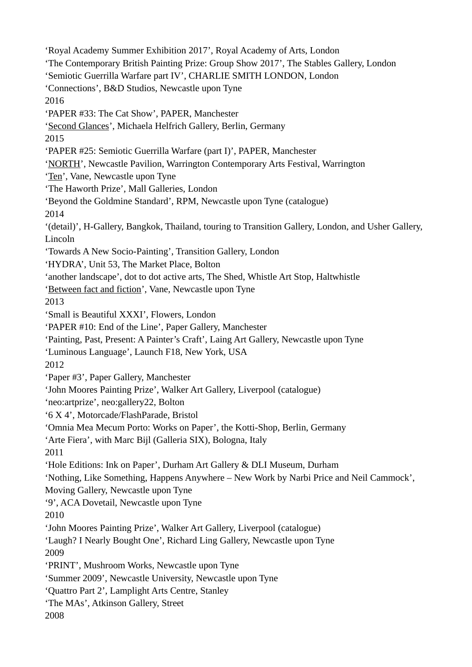'Royal Academy Summer Exhibition 2017', Royal Academy of Arts, London 'The Contemporary British Painting Prize: Group Show 2017', The Stables Gallery, London 'Semiotic Guerrilla Warfare part IV', CHARLIE SMITH LONDON, London 'Connections', B&D Studios, Newcastle upon Tyne 2016 'PAPER #33: The Cat Show', PAPER, Manchester 'Second Glances', Michaela Helfrich Gallery, Berlin, Germany 2015 'PAPER #25: Semiotic Guerrilla Warfare (part I)', PAPER, Manchester 'NORTH', Newcastle Pavilion, Warrington Contemporary Arts Festival, Warrington 'Ten', Vane, Newcastle upon Tyne 'The Haworth Prize', Mall Galleries, London 'Beyond the Goldmine Standard', RPM, Newcastle upon Tyne (catalogue) 2014 '(detail)', H-Gallery, Bangkok, Thailand, touring to Transition Gallery, London, and Usher Gallery, Lincoln 'Towards A New Socio-Painting', Transition Gallery, London 'HYDRA', Unit 53, The Market Place, Bolton 'another landscape', dot to dot active arts, The Shed, Whistle Art Stop, Haltwhistle 'Between fact and fiction', Vane, Newcastle upon Tyne 2013 'Small is Beautiful XXXI', Flowers, London 'PAPER #10: End of the Line', Paper Gallery, Manchester 'Painting, Past, Present: A Painter's Craft', Laing Art Gallery, Newcastle upon Tyne 'Luminous Language', Launch F18, New York, USA 2012 'Paper #3', Paper Gallery, Manchester 'John Moores Painting Prize', Walker Art Gallery, Liverpool (catalogue) 'neo:artprize', neo:gallery22, Bolton '6 X 4', Motorcade/FlashParade, Bristol 'Omnia Mea Mecum Porto: Works on Paper', the Kotti-Shop, Berlin, Germany 'Arte Fiera', with Marc Bijl (Galleria SIX), Bologna, Italy 2011 'Hole Editions: Ink on Paper', Durham Art Gallery & DLI Museum, Durham 'Nothing, Like Something, Happens Anywhere – New Work by Narbi Price and Neil Cammock', Moving Gallery, Newcastle upon Tyne '9', ACA Dovetail, Newcastle upon Tyne 2010 'John Moores Painting Prize', Walker Art Gallery, Liverpool (catalogue) 'Laugh? I Nearly Bought One', Richard Ling Gallery, Newcastle upon Tyne 2009 'PRINT', Mushroom Works, Newcastle upon Tyne 'Summer 2009', Newcastle University, Newcastle upon Tyne 'Quattro Part 2', Lamplight Arts Centre, Stanley 'The MAs', Atkinson Gallery, Street 2008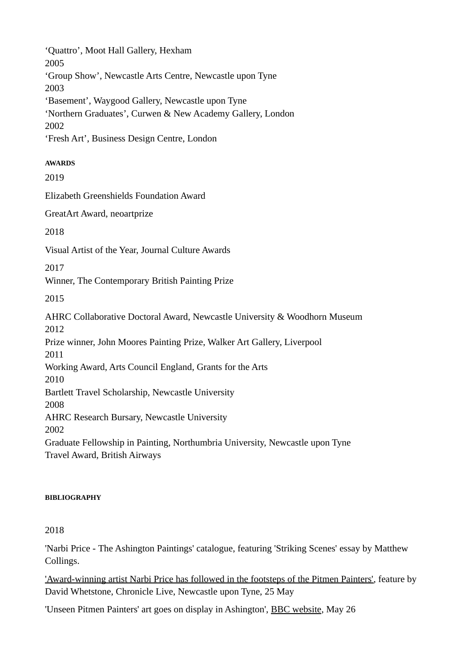'Quattro', Moot Hall Gallery, Hexham 2005 'Group Show', Newcastle Arts Centre, Newcastle upon Tyne 2003 'Basement', Waygood Gallery, Newcastle upon Tyne 'Northern Graduates', Curwen & New Academy Gallery, London 2002 'Fresh Art', Business Design Centre, London

# **AWARDS**

2019

Elizabeth Greenshields Foundation Award

GreatArt Award, neoartprize

2018

Visual Artist of the Year, Journal Culture Awards

2017

Winner, The Contemporary British Painting Prize

2015

AHRC Collaborative Doctoral Award, Newcastle University & Woodhorn Museum 2012 Prize winner, John Moores Painting Prize, Walker Art Gallery, Liverpool 2011 Working Award, Arts Council England, Grants for the Arts 2010 Bartlett Travel Scholarship, Newcastle University 2008 AHRC Research Bursary, Newcastle University 2002 Graduate Fellowship in Painting, Northumbria University, Newcastle upon Tyne Travel Award, British Airways

## **BIBLIOGRAPHY**

## 2018

'Narbi Price - The Ashington Paintings' catalogue, featuring 'Striking Scenes' essay by Matthew Collings.

'Award-winning artist Narbi Price has followed in the footsteps of the Pitmen Painters', feature by David Whetstone, Chronicle Live, Newcastle upon Tyne, 25 May

'Unseen Pitmen Painters' art goes on display in Ashington', BBC website, May 26